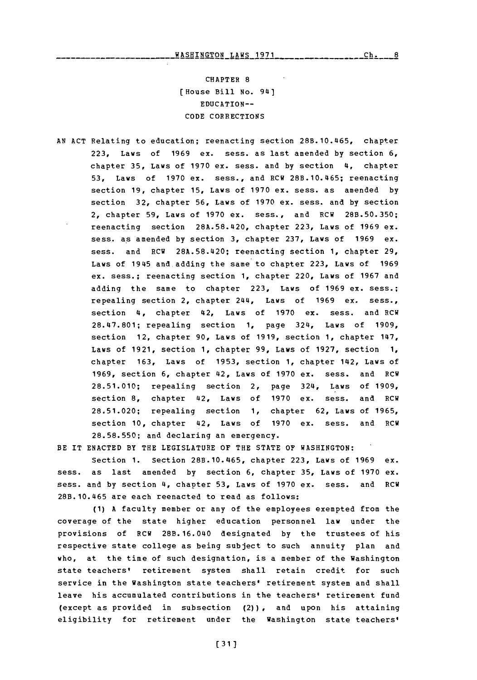CHAPTER **8** [House Bill No. 941 EDUCATION--**CODE** CORRECTIONS

**AN ACT** Relating to education; reenacting section 28B.10.465, chapter **223,** Laws of **1969** ex. sess. as last amended **by** section **6,** chapter **35,** Laws of **1970** ex. sess. and **by** section 4, chapter **53,** Laws of **1970** ex. sess., and RCW 28B.10.465; reenacting section **19,** chapter **15,** Laws of **1970** ex. sess. as amended **by** section **32,** chapter **56,** Laws of **1970** ex. sess. and **by** section 2, chapter **59,** Laws of **1970** ex. sess., and RCW **28B.50.350;** reenacting section 28A.58.420, chapter **223,** Laws of **1969** ex. sess. as amended **by** section **3,** chapter **237,** Laws of **1969** ex. sess. and RCW **28A.58.420;** reenacting section **1,** chapter **29,** Laws of 1945 and adding the same to chapter **223,** Laws of **1969** ex. sess.; reenacting section **1,** chapter 220, Laws of **1967** and adding the same to chapter **223,** Laws of **1969** ex. sess.; repealing section 2, chapter 244, Laws of **1969** ex. sess., section 4, chapter 42, Laws of **1970** ex. sess. and RCW 28.47.801; repealing section **1,** page 324, Laws of **1909,** section 12, chapter **90,** Laws of **1919,** section **1,** chapter 147, Laws **Of 1921,** section **1,** chapter **99,** Laws of **1927,** section **1,** chapter **163,** Laws of **1953,** section **1,** chapter 142, Laws of **1969,** section **6,** chapter 42, Laws of **1970** ex. sess. and RCW **28.51.010;** repealing section 2, page 324, Laws of **1909,** section **8,** chapter 42, Laws of **1970** ex. sess. and RCW **28.51.020;** repealing section **1,** chapter **62,** Laws of **1965,** section **10,** chapter 42, Laws of **1970** ex. sess. and RCW **28.58.550;** and declaring an emergency.

BE IT **ENACTED** BY THE LEGISLATURE OF THE **STATE OF** WASHINGTON:

Section **1.** Section 28B.10.465, chapter **223,** Laws of **1969** ex. sess. as last amended **by** section **6,** chapter **35,** Laws of **1970** ex. sess. and **by** section 4, chapter **53,** Laws of **1970** ex. sess. and RCW 28B.10.465 are each reenacted to read as follows:

**(1) A** faculty member or any of the employees exempted from the coverage of the state higher education personnel law under the provisions of RCW 28B.16.040 designated **by** the trustees of his respective state college as being subject to such annuity plan and who, at the time of such designation, is a member of the Washington state teachers' retirement system shall retain credit for such service in the Washington state teachers' retirement system and shall leave his accumulated contributions in the teachers' retirement fund (except as provided in subsection (2)) , and upon his attaining eligibility for retirement under the Washington state teachers'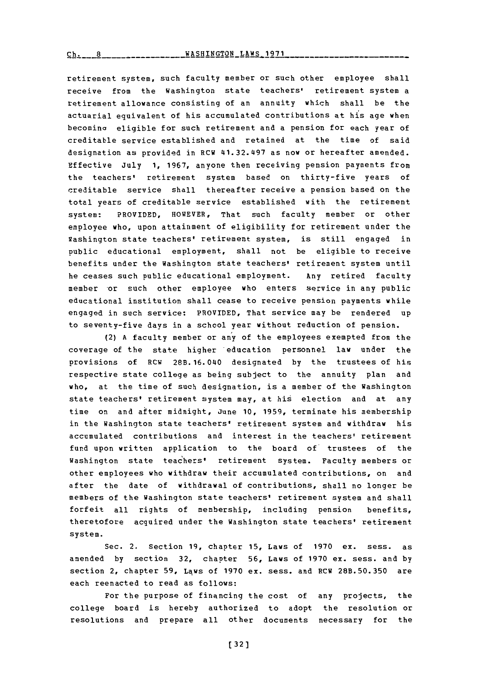$\text{KASHINGTON}$  LAWS 1971

retirement system, such faculty member or such other employee shall receive from the Washington state teachers' retirement system a retirement allowance consisting of an annuity which shall be the actuarial equivalent of his accumulated contributions at his age when becomino eligible for such retirement and a pension for each year of creditable service established and retained at the time of said designation as provided in RCW 41.32.497 as now or hereafter amended. Effective July **1, 1967,** anyone then receiving pension payments from the teachers' retirement system based on thirty-five years of creditable service shall thereafter receive a pension based on the total years of creditable service established with the retirement system: PROVIDED, HOWEVER, That such faculty member or other employee who, upon attainment of eligibility for retirement under the Washington state teachers' retirement system, is still engaged in Public educational employment, shall not be eligible to receive benefits under the Washington state teachers' retirement system until he ceases such public educational employment. Any retired faculty member or such other employee who enters service in any public educational institution shall cease to receive pension payments while engaged in such service: PROVIDED, That service may be rendered **up** to seventy-five days in a school year without reduction of pension.

(2) **A** faculty member or any of the employees exempted from the coverage of the state higher 'education personnel **law** under the provisions of RCW 28B.16.040 designated by the trustees of his respective state college as being subject to the annuity plan and who, at the time of such designation, is a member of the Washington state teachers' retirement system may, at his election and at any time on and after midnight, June **10, 1959,** terminate his membership in the Washington state teachers' retirement system and withdraw his accumulated contributions and interest in the teachers' retirement fund upon written application to the board of trustees of the Washington state teachers' retirement system. Faculty members or other employees who withdraw their accumulated contributions, on and after the date of withdrawal of contributions, shall no longer be members of the Washington state teachers' retirement system and shall forfeit all rights of membership, including pension benefits, theretofore acquired under the Washington state teachers' retirement system.

Sec. 2. Section 19, chapter 15, Laws of 1970 ex. sess. as amended **by** section **32,** chapter **56,** Laws of **1970** ex. sess. and **by** section 2, chapter **59,** Laws of **1970** ex. mess, and RCW **28B.50.350** are each reenacted to read as follows:

For the purpose of financing the cost of any projects, the college board is hereby authorized to adopt the resolution or resolutions and prepare all other documents necessary for the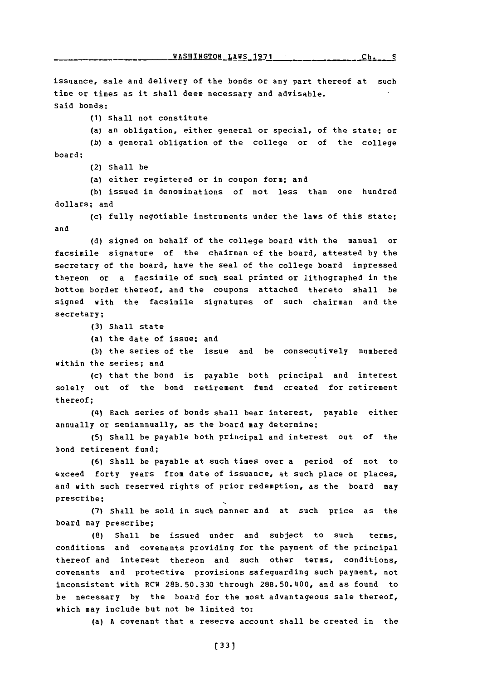WASHINGTON LAWS 1971

issuance, sale and delivery of the bonds or any part thereof at such time or times as it shall deem necessary and advisable. Said bonds:

- **(1)** Shall not constitute
- (a) an obligation, either general or special, of the state; or

**(b)** a general obligation of the college or of the college board;

- (2) Shall be
- (a) either registered or in coupon form; and

**(b)** issued in denominations of not less than one hundred dollars; and

**(c)** fully negotiable instruments under the laws of this state; and

**(d)** signed on behalf of the college board with the manual or facsimile signature of the chairman of the board, attested **by** the secretary of the board, have the seal of the college board impressed thereon or a facsimile of such seal printed or lithographed in the bottom border thereof, and the coupons attached thereto shall be signed with the facsimile signatures of such chairman and the secretary;

- **(3)** Shall state
- (a) the date of issue; and

**(b)** the series of the issue and be consecutively numbered within the series; and

(c) that the bond is payable both principal and interest solely out of the bond retirement fund created for retirement thereof;

(t4) Each series of bonds shall bear interest, payable either annually or semiannually, as the board may determine;

**(5)** Shall be payable both principal and interest out of the bond retirement fund;

**(6)** Shall be payable at such times over a period of not to exceed forty years from date of issuance, at such place or places, and with such reserved rights of prior redemption, as the board may prescribe;

**(7)** Shall be sold in such manner and at such price as the board may prescribe;

**(8)** Shall be issued under and subject to such terms, conditions and covenants providing for the payment of the principal thereof and interest thereon and such other terms, conditions, covenants and protective provisions safeguarding such payment, not inconsistent with RCW **28B.50.330** through 28B.50.t400, and as found to be necessary **by** the board for the most advantageous sale thereof, which may include but not be limited to:

(a) **A** covenant that a reserve account shall be created in the

 $Ch. 8$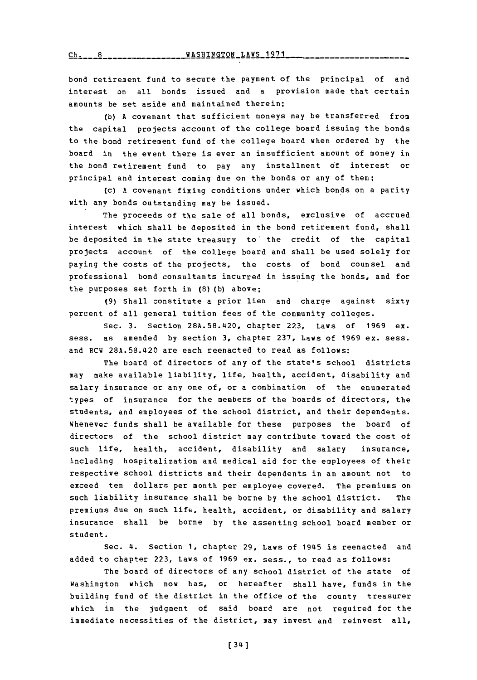**I1&5HTNC.TO~J TAWS l~7l Ch 8 WASHINGTON** LAWS **1971**

bond retirement fund to secure the payment of the principal of and interest on all bonds issued and a provision made that certain amounts be set aside and maintained therein;

**(b) A** covenant that sufficient moneys may be transferred from the capital projects account of the college board issuing the bonds to the bond retirement fund of the college board when ordered **by** the board in the event there is ever an insufficient amount of money in the bond retirement fund to pay any installment **of** interest or principal and interest coming due on the bonds or any of them;

(c) **A** covenant fixing conditions under which bonds on a parity with any bonds outstanding may be issued.

The proceeds of the sale of all bonds, exclusive of accrued interest which shall be deposited in the bond retirement fund, shall be deposited in the state treasury to' the credit of the capital projects account of the college board and shall be used solely for paying the costs of the projects, the costs of bond counsel and professional bond consultants incurred in issuing the bonds, and for the purposes set forth in **(8) (b)** above;

**(9)** Shall constitute a prior lien and charge against sixty percent of all general tuition fees of the community colleges.

Sec. **3.** Section **28A.58.420,** chapter **223,** Laws of **1969** ex. sess. as amended **by** section **3,** chapter **237,** Laws of **1969** ex. sess. and RCW **28A.58.420** are each reenacted to read as follows:

The board of directors of any of the state's school districts may make available liability, life, health, accident, disability and salary insurance or any one of, or a combination of the enumerated types of insurance for the members of the boards of directors, the students, and employees of the school district, and their dependents. Whenever funds shall be available for these purposes the board of directors of the school district may contribute toward the cost of such life, health, accident, disability and salary insurance, including hospitalization and medical aid for the employees of their respective school districts and their dependents in an amount not to exceed ten dollars per month per employee covered. The premiums on such liability insurance shall be borne **by** the school district. The premiums due on such life, health, accident, or disability and salary insurance shall be borne **by** the assenting school board member or student.

Sec. 4. Section **1,** chapter **29,** Laws of 1945 is reenacted and added to chapter **223,** Laws of **1969** ex. sess., to read as follows:

The board of directors of any school district of the state of Washington which now has, or hereafter shall have, funds in the building fund of the district in the office of the county treasurer which in the judgment of said board are not required for the immediate necessities of the district, may invest and reinvest all,

**[** 34 **]**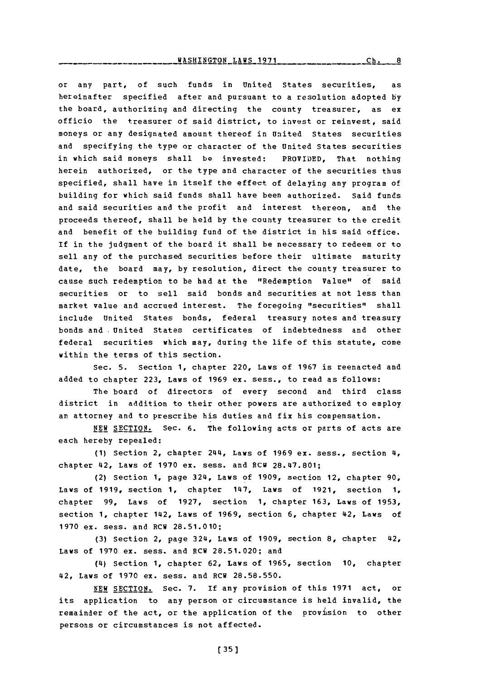**WASHINGTON LAWS 1971** 

**Ch. 8**

or any part, of such funds in United States securities, as hereinafter specified after and pursuant to a resolution adopted **by** the board, authorizing and directing the county treasurer, as ex officio the treasurer of said district, to invest or reinvest, said moneys or any designated amount thereof in United States securities and specifying the type or character of the United States securities in which said moneys shall be invested: PROVIDED, That nothing herein authorized, or the type and character of the securities thus specified, shall have in itself the effect of delaying any program of building for which said funds shall have been authorized. Said funds and said securities and the profit and interest thereon, and the proceeds thereof, shall be held **by** the county treasurer to the credit and benefit of the building fund of the district in his said office. If in the judgment of the board it shall be necessary to redeem or to sell any of the purchased securities before their ultimate maturity date, the board may, **by** resolution, direct the county treasurer to cause such redemption to be had at the "Redemption Value" of said securities or to sell said bonds and securities at not less than market value and accrued interest. The foregoing "securities" shall include United States bonds, federal treasury notes and treasury bonds and United States certificates of indebtedness and other federal securities which may, during the life of this statute, come within the terms of this section.

Sec. **5.** Section **1,** chapter 220, Laws of **1967** is reenacted and added to chapter **223,** Laws of **1969** ex. sess., to read as follows:

The board of directors of every second and third class district in addition to their other powers are authorized to employ an attorney and to prescribe his duties and fix his compensation.

**NEW** SECTION. Sec. **6.** The following acts or parts of acts are each hereby repealed:

**(1)** Section 2, chapter 2144, Laws of **1969** ex. sess., section 14, chapter 42, Laws of **1970** ex. sess. and RCW **28.47.801;**

(2) Section **1,** page 324, Laws of **1909,** section 12, chapter **90,** Laws of **1919,** section **1,** chapter 1147, Laws of **1921,** section **1,** chapter **99,** Laws of **1927,** section **1,** chapter **163,** Laws of **1953,** section 1, chapter 142, Laws of 1969, section 6, chapter 42, Laws of **1970** ex. sess. and RCW **28.51.010;**

**(3)** Section 2, page 324, Laws of **1909,** section **8,** chapter 42, Laws of **1970** ex. sess. and RCW **28.51.020;** and

(14) Section **1,** chapter **62,** Laws of **1965,** section **10,** chapter 42, Laws of **1970** ex. sess. and RCW **28.58.550.**

**NEW SECTION.** Sec. **7. If** any provision of this **1971** act, or its application to any person or circumstance is held invalid, the remainder of the act, or the application of the provision to other persons or circumstances is not affected.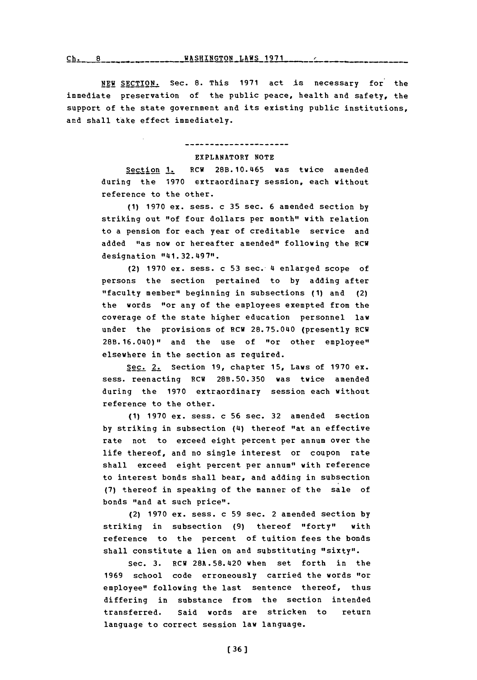**rh n** ~WASHINGTON **LAWS <sup>1971</sup>**

**NEW SECTION.** Sec. 8. This 1971 act is necessary for the immediate preservation of the public peace, health and safety, the support of the state government and its existing public institutions, and shall take effect immediately.

---------------------

## EXPLANATORY **NOTE**

Section **1.** RCW 28B.10.465 was twice amended during the **1970** extraordinary session, each without reference to the other.

**(1) 1970** ex. sess. c **35** sec. **6** amended section **by** striking out "of four dollars per month" with relation to a pension for each year of creditable service and added "as now or hereafter amended" following the RCW designation "141.32.497".

(2) **1970** ex. sess. c **53** sec. 4 enlarged scope of persons the section pertained to **by** adding after "faculty member" beginning in subsections **(1)** and (2) the words "or any of the employees exempted from the coverage of the state higher education personnel law under the provisions of RCW 28.75.040 (presently RCW 28B.16.040)" and the use of "or other employee" elsewhere in the section as required.

Sec. 2. Section **19,** chapter **15,** Laws of **1970** ex. sess. reenacting RCW **28B.50.350** was twice amended during the **1970** extraordinary session each without reference to the other.

**(1) 1970** ex. sess. c **56** sec. **32** amended section **by** striking in subsection (4) thereof "at an effective rate not to exceed eight percent per annum over the life thereof, and no single interest or coupon rate shall exceed eight percent per annum" with reference to interest bonds shall bear, and adding in subsection **(7)** thereof in speaking of the manner of the sale of bonds "and at such price".

(2) **1970** ex. sess. c **59** sec. 2 amended section **by** striking in subsection **(9)** thereof "forty" with reference to the percent of tuition fees the bonds shall constitute a lien on and substituting "sixty".

Sec. **3.** ECW **28A.58.420** when set forth in the **1969** school code erroneously carried the words "or employee" following the last sentence thereof, thus differing in substance from the section intended transferred. Said words are stricken to return language to correct session law language.